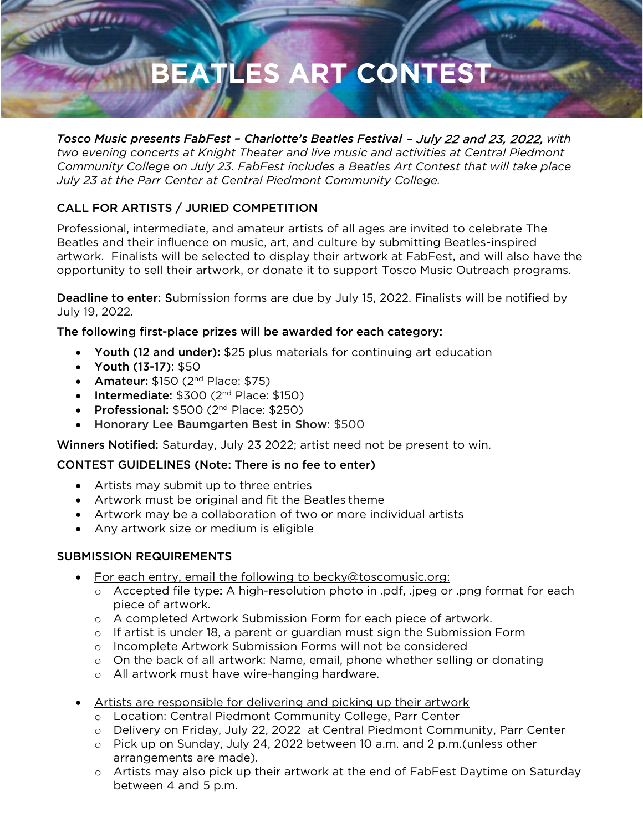# **BEATLES ART CONTEST**

*Tosco Music presents FabFest – Charlotte's Beatles Festival* – July 22 and 23, 2022, *with two evening concerts at Knight Theater and live music and activities at Central Piedmont Community College on July 23. FabFest includes a Beatles Art Contest that will take place July 23 at the Parr Center at Central Piedmont Community College.*

## CALL FOR ARTISTS / JURIED COMPETITION

Professional, intermediate, and amateur artists of all ages are invited to celebrate The Beatles and their influence on music, art, and culture by submitting Beatles-inspired artwork. Finalists will be selected to display their artwork at FabFest, and will also have the opportunity to sell their artwork, or donate it to support Tosco Music Outreach programs.

Deadline to enter: Submission forms are due by July 15, 2022. Finalists will be notified by July 19, 2022.

### The following first-place prizes will be awarded for each category:

- Youth (12 and under): \$25 plus materials for continuing art education
- Youth (13-17): \$50
- Amateur:  $$150 (2<sup>nd</sup> Place: $75)$
- Intermediate: \$300 (2<sup>nd</sup> Place: \$150)
- Professional:  $$500 (2<sup>nd</sup> Place: $250)$
- Honorary Lee Baumgarten Best in Show: \$500

Winners Notified: Saturday, July 23 2022; artist need not be present to win.

### CONTEST GUIDELINES (Note: There is no fee to enter)

- Artists may submit up to three entries
- Artwork must be original and fit the Beatles theme
- Artwork may be a collaboration of two or more individual artists
- Any artwork size or medium is eligible

### SUBMISSION REQUIREMENTS

- For each entry, email the following to beck[y@toscomusic.org:](mailto:taylor@toscomusic.org)
	- o Accepted file type: A high-resolution photo in .pdf, .jpeg or .png format for each piece of artwork.
	- o A completed Artwork Submission Form for each piece of artwork.
	- $\circ$  If artist is under 18, a parent or guardian must sign the Submission Form
	- o Incomplete Artwork Submission Forms will not be considered
	- o On the back of all artwork: Name, email, phone whether selling or donating
	- o All artwork must have wire-hanging hardware.
- Artists are responsible for delivering and picking up their artwork
	- o Location: Central Piedmont Community College, Parr Center
	- o Delivery on Friday, July 22, 2022 at Central Piedmont Community, Parr Center
	- o Pick up on Sunday, July 24, 2022 between 10 a.m. and 2 p.m.(unless other arrangements are made).
	- o Artists may also pick up their artwork at the end of FabFest Daytime on Saturday between 4 and 5 p.m.